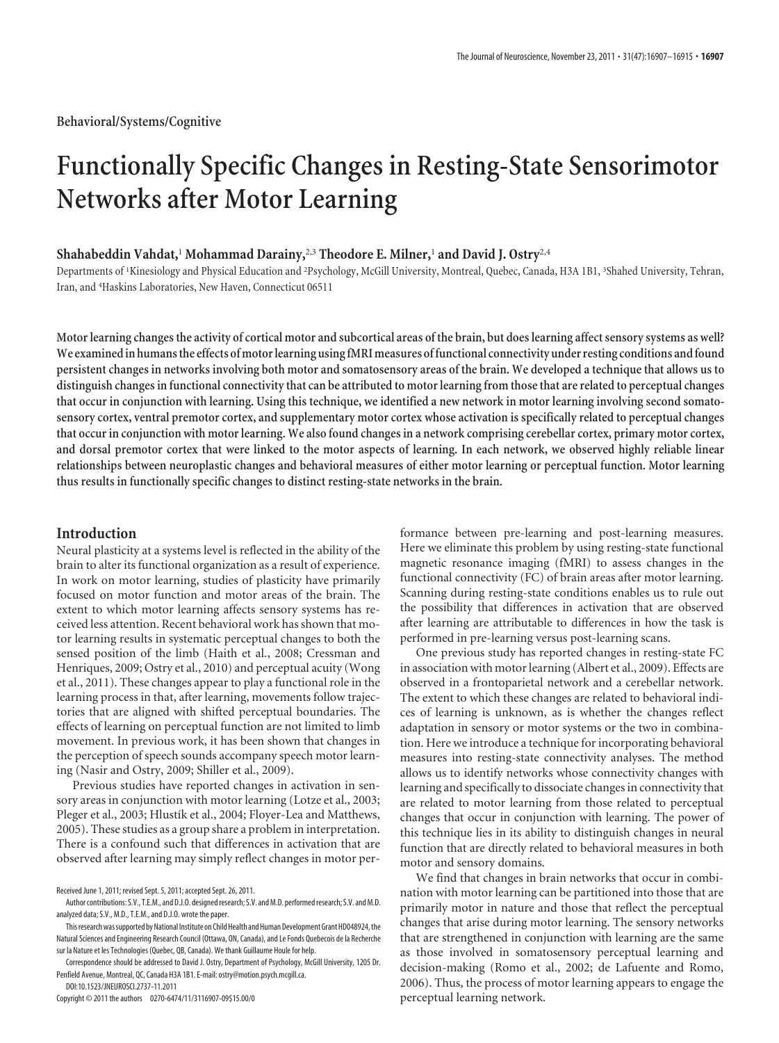**Behavioral/Systems/Cognitive**

# **Functionally Specific Changes in Resting-State Sensorimotor Networks after Motor Learning**

# **Shahabeddin Vahdat,**<sup>1</sup> **Mohammad Darainy,**2,3 **Theodore E. Milner,**<sup>1</sup> **and David J. Ostry**2,4

Departments of <sup>1</sup>Kinesiology and Physical Education and <sup>2</sup>Psychology, McGill University, Montreal, Quebec, Canada, H3A 1B1, <sup>3</sup>Shahed University, Tehran, Iran, and <sup>4</sup> Haskins Laboratories, New Haven, Connecticut 06511

**Motor learning changes the activity of cortical motor and subcortical areas of the brain, but does learning affect sensory systems as well?** We examined in humans the effects of motor learning using fMRI measures of functional connectivity under resting conditions and found **persistent changes in networks involving both motor and somatosensory areas of the brain. We developed a technique that allows us to distinguish changes in functional connectivity that can be attributed to motor learning from those that are related to perceptual changes that occur in conjunction with learning. Using this technique, we identified a new network in motor learning involving second somatosensory cortex, ventral premotor cortex, and supplementary motor cortex whose activation is specifically related to perceptual changes that occur in conjunction with motor learning. We also found changes in a network comprising cerebellar cortex, primary motor cortex, and dorsal premotor cortex that were linked to the motor aspects of learning. In each network, we observed highly reliable linear relationships between neuroplastic changes and behavioral measures of either motor learning or perceptual function. Motor learning thus results in functionally specific changes to distinct resting-state networks in the brain.**

# **Introduction**

Neural plasticity at a systems level is reflected in the ability of the brain to alter its functional organization as a result of experience. In work on motor learning, studies of plasticity have primarily focused on motor function and motor areas of the brain. The extent to which motor learning affects sensory systems has received less attention. Recent behavioral work has shown that motor learning results in systematic perceptual changes to both the sensed position of the limb (Haith et al., 2008; Cressman and Henriques, 2009; Ostry et al., 2010) and perceptual acuity (Wong et al., 2011). These changes appear to play a functional role in the learning process in that, after learning, movements follow trajectories that are aligned with shifted perceptual boundaries. The effects of learning on perceptual function are not limited to limb movement. In previous work, it has been shown that changes in the perception of speech sounds accompany speech motor learning (Nasir and Ostry, 2009; Shiller et al., 2009).

Previous studies have reported changes in activation in sensory areas in conjunction with motor learning (Lotze et al., 2003; Pleger et al., 2003; Hlustík et al., 2004; Floyer-Lea and Matthews, 2005). These studies as a group share a problem in interpretation. There is a confound such that differences in activation that are observed after learning may simply reflect changes in motor per-

DOI:10.1523/JNEUROSCI.2737-11.2011

Copyright © 2011 the authors 0270-6474/11/3116907-09\$15.00/0

formance between pre-learning and post-learning measures. Here we eliminate this problem by using resting-state functional magnetic resonance imaging (fMRI) to assess changes in the functional connectivity (FC) of brain areas after motor learning. Scanning during resting-state conditions enables us to rule out the possibility that differences in activation that are observed after learning are attributable to differences in how the task is performed in pre-learning versus post-learning scans.

One previous study has reported changes in resting-state FC in association with motor learning (Albert et al., 2009). Effects are observed in a frontoparietal network and a cerebellar network. The extent to which these changes are related to behavioral indices of learning is unknown, as is whether the changes reflect adaptation in sensory or motor systems or the two in combination. Here we introduce a technique for incorporating behavioral measures into resting-state connectivity analyses. The method allows us to identify networks whose connectivity changes with learning and specifically to dissociate changes in connectivity that are related to motor learning from those related to perceptual changes that occur in conjunction with learning. The power of this technique lies in its ability to distinguish changes in neural function that are directly related to behavioral measures in both motor and sensory domains.

We find that changes in brain networks that occur in combination with motor learning can be partitioned into those that are primarily motor in nature and those that reflect the perceptual changes that arise during motor learning. The sensory networks that are strengthened in conjunction with learning are the same as those involved in somatosensory perceptual learning and decision-making (Romo et al., 2002; de Lafuente and Romo, 2006). Thus, the process of motor learning appears to engage the perceptual learning network.

Received June 1, 2011; revised Sept. 5, 2011; accepted Sept. 26, 2011.

Author contributions: S.V., T.E.M., and D.J.O. designed research; S.V. and M.D. performed research; S.V. and M.D. analyzed data; S.V., M.D., T.E.M., and D.J.O. wrote the paper.

This research was supported by National Institute on Child Health and Human Development Grant HD048924, the Natural Sciences and Engineering Research Council (Ottawa, ON, Canada), and Le Fonds Quebecois de la Recherche sur la Nature et les Technologies (Quebec, QB, Canada). We thank Guillaume Houle for help.

Correspondence should be addressed to David J. Ostry, Department of Psychology, McGill University, 1205 Dr. Penfield Avenue, Montreal, QC, Canada H3A 1B1. E-mail: ostry@motion.psych.mcgill.ca.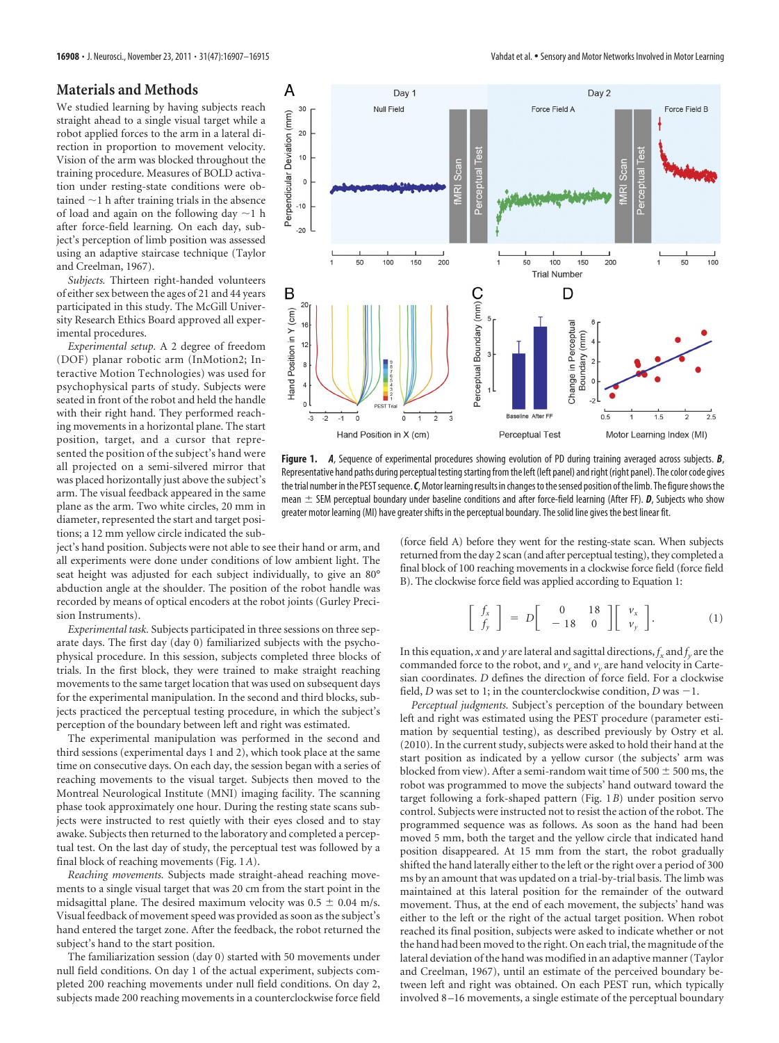## **Materials and Methods**

We studied learning by having subjects reach straight ahead to a single visual target while a robot applied forces to the arm in a lateral direction in proportion to movement velocity. Vision of the arm was blocked throughout the training procedure. Measures of BOLD activation under resting-state conditions were obtained  $\sim$ 1 h after training trials in the absence of load and again on the following day  $\sim$ 1 h after force-field learning. On each day, subject's perception of limb position was assessed using an adaptive staircase technique (Taylor and Creelman, 1967).

*Subjects.* Thirteen right-handed volunteers of either sex between the ages of 21 and 44 years participated in this study. The McGill University Research Ethics Board approved all experimental procedures.

*Experimental setup.* A 2 degree of freedom (DOF) planar robotic arm (InMotion2; Interactive Motion Technologies) was used for psychophysical parts of study. Subjects were seated in front of the robot and held the handle with their right hand. They performed reaching movements in a horizontal plane. The start position, target, and a cursor that represented the position of the subject's hand were all projected on a semi-silvered mirror that was placed horizontally just above the subject's arm. The visual feedback appeared in the same plane as the arm. Two white circles, 20 mm in diameter, represented the start and target positions; a 12 mm yellow circle indicated the sub-

ject's hand position. Subjects were not able to see their hand or arm, and all experiments were done under conditions of low ambient light. The seat height was adjusted for each subject individually, to give an 80° abduction angle at the shoulder. The position of the robot handle was recorded by means of optical encoders at the robot joints (Gurley Precision Instruments).

*Experimental task.* Subjects participated in three sessions on three separate days. The first day (day 0) familiarized subjects with the psychophysical procedure. In this session, subjects completed three blocks of trials. In the first block, they were trained to make straight reaching movements to the same target location that was used on subsequent days for the experimental manipulation. In the second and third blocks, subjects practiced the perceptual testing procedure, in which the subject's perception of the boundary between left and right was estimated.

The experimental manipulation was performed in the second and third sessions (experimental days 1 and 2), which took place at the same time on consecutive days. On each day, the session began with a series of reaching movements to the visual target. Subjects then moved to the Montreal Neurological Institute (MNI) imaging facility. The scanning phase took approximately one hour. During the resting state scans subjects were instructed to rest quietly with their eyes closed and to stay awake. Subjects then returned to the laboratory and completed a perceptual test. On the last day of study, the perceptual test was followed by a final block of reaching movements (Fig. 1*A*).

*Reaching movements.* Subjects made straight-ahead reaching movements to a single visual target that was 20 cm from the start point in the midsagittal plane. The desired maximum velocity was  $0.5 \pm 0.04$  m/s. Visual feedback of movement speed was provided as soon as the subject's hand entered the target zone. After the feedback, the robot returned the subject's hand to the start position.

The familiarization session (day 0) started with 50 movements under null field conditions. On day 1 of the actual experiment, subjects completed 200 reaching movements under null field conditions. On day 2, subjects made 200 reaching movements in a counterclockwise force field



**Figure 1.** *A*, Sequence of experimental procedures showing evolution of PD during training averaged across subjects. *B*, Representative hand paths during perceptual testing starting from the left (left panel) and right (right panel). The color code gives the trial number in the PEST sequence. *C*, Motor learning results in changes to the sensed position of the limb. The figure shows the mean  $\pm$  SEM perceptual boundary under baseline conditions and after force-field learning (After FF). *D*, Subjects who show greater motor learning (MI) have greater shifts in the perceptual boundary. The solid line gives the best linear fit.

(force field A) before they went for the resting-state scan. When subjects returned from the day 2 scan (and after perceptual testing), they completed a final block of 100 reaching movements in a clockwise force field (force field B). The clockwise force field was applied according to Equation 1:

$$
\left[\begin{array}{c} f_x \\ f_y \end{array}\right] = D \left[\begin{array}{cc} 0 & 18 \\ -18 & 0 \end{array}\right] \left[\begin{array}{c} v_x \\ v_y \end{array}\right]. \tag{1}
$$

In this equation, *x* and *y* are lateral and sagittal directions,  $f_x$  and  $f_y$  are the commanded force to the robot, and  $v_x$  and  $v_y$  are hand velocity in Cartesian coordinates. *D* defines the direction of force field. For a clockwise field, *D* was set to 1; in the counterclockwise condition, *D* was  $-1$ .

*Perceptual judgments.* Subject's perception of the boundary between left and right was estimated using the PEST procedure (parameter estimation by sequential testing), as described previously by Ostry et al. (2010). In the current study, subjects were asked to hold their hand at the start position as indicated by a yellow cursor (the subjects' arm was blocked from view). After a semi-random wait time of 500  $\pm$  500 ms, the robot was programmed to move the subjects' hand outward toward the target following a fork-shaped pattern (Fig. 1*B*) under position servo control. Subjects were instructed not to resist the action of the robot. The programmed sequence was as follows. As soon as the hand had been moved 5 mm, both the target and the yellow circle that indicated hand position disappeared. At 15 mm from the start, the robot gradually shifted the hand laterally either to the left or the right over a period of 300 ms by an amount that was updated on a trial-by-trial basis. The limb was maintained at this lateral position for the remainder of the outward movement. Thus, at the end of each movement, the subjects' hand was either to the left or the right of the actual target position. When robot reached its final position, subjects were asked to indicate whether or not the hand had been moved to the right. On each trial, the magnitude of the lateral deviation of the hand was modified in an adaptive manner (Taylor and Creelman, 1967), until an estimate of the perceived boundary between left and right was obtained. On each PEST run, which typically involved 8 –16 movements, a single estimate of the perceptual boundary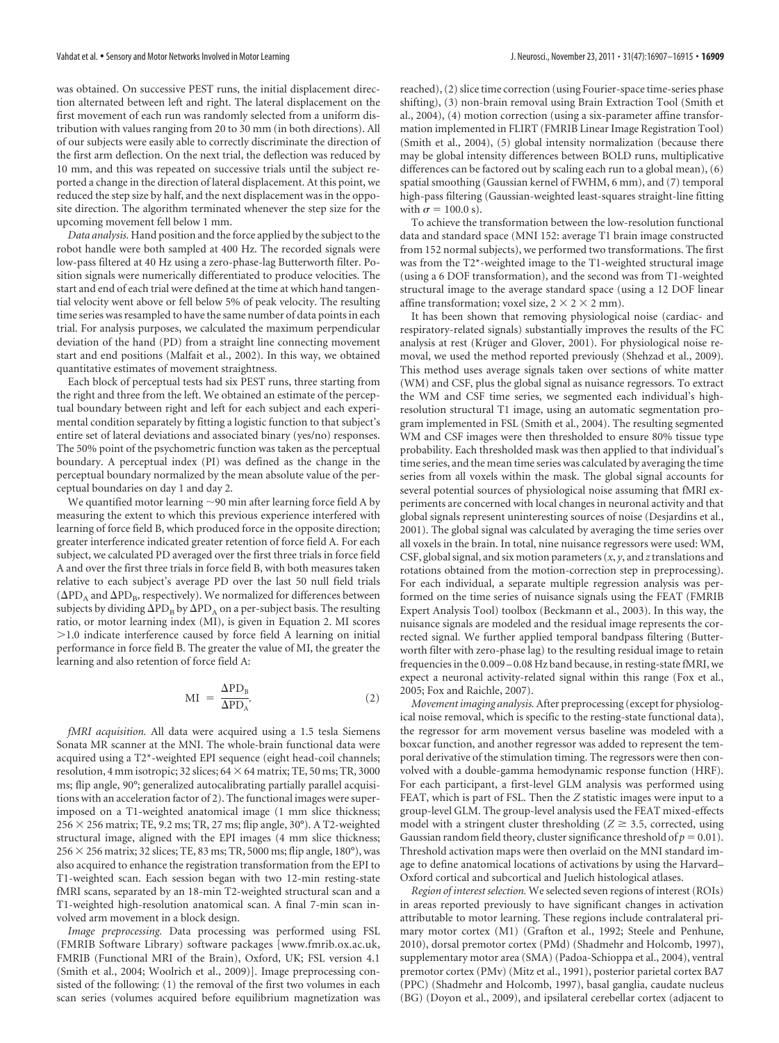was obtained. On successive PEST runs, the initial displacement direction alternated between left and right. The lateral displacement on the first movement of each run was randomly selected from a uniform distribution with values ranging from 20 to 30 mm (in both directions). All of our subjects were easily able to correctly discriminate the direction of the first arm deflection. On the next trial, the deflection was reduced by 10 mm, and this was repeated on successive trials until the subject reported a change in the direction of lateral displacement. At this point, we reduced the step size by half, and the next displacement was in the opposite direction. The algorithm terminated whenever the step size for the upcoming movement fell below 1 mm.

*Data analysis.* Hand position and the force applied by the subject to the robot handle were both sampled at 400 Hz. The recorded signals were low-pass filtered at 40 Hz using a zero-phase-lag Butterworth filter. Position signals were numerically differentiated to produce velocities. The start and end of each trial were defined at the time at which hand tangential velocity went above or fell below 5% of peak velocity. The resulting time series was resampled to have the same number of data points in each trial. For analysis purposes, we calculated the maximum perpendicular deviation of the hand (PD) from a straight line connecting movement start and end positions (Malfait et al., 2002). In this way, we obtained quantitative estimates of movement straightness.

Each block of perceptual tests had six PEST runs, three starting from the right and three from the left. We obtained an estimate of the perceptual boundary between right and left for each subject and each experimental condition separately by fitting a logistic function to that subject's entire set of lateral deviations and associated binary (yes/no) responses. The 50% point of the psychometric function was taken as the perceptual boundary. A perceptual index (PI) was defined as the change in the perceptual boundary normalized by the mean absolute value of the perceptual boundaries on day 1 and day 2.

We quantified motor learning  $\sim$ 90 min after learning force field A by measuring the extent to which this previous experience interfered with learning of force field B, which produced force in the opposite direction; greater interference indicated greater retention of force field A. For each subject, we calculated PD averaged over the first three trials in force field A and over the first three trials in force field B, with both measures taken relative to each subject's average PD over the last 50 null field trials ( $\Delta$ PD<sub>A</sub> and  $\Delta$ PD<sub>B</sub>, respectively). We normalized for differences between subjects by dividing  $\Delta P D_B$  by  $\Delta P D_A$  on a per-subject basis. The resulting ratio, or motor learning index (MI), is given in Equation 2. MI scores  $>1.0$  indicate interference caused by force field A learning on initial performance in force field B. The greater the value of MI, the greater the learning and also retention of force field A:

$$
MI = \frac{\Delta PD_B}{\Delta PD_A}.
$$
 (2)

*fMRI acquisition.* All data were acquired using a 1.5 tesla Siemens Sonata MR scanner at the MNI. The whole-brain functional data were acquired using a T2\*-weighted EPI sequence (eight head-coil channels; resolution, 4 mm isotropic; 32 slices;  $64 \times 64$  matrix; TE, 50 ms; TR, 3000 ms; flip angle, 90°; generalized autocalibrating partially parallel acquisitions with an acceleration factor of 2). The functional images were superimposed on a T1-weighted anatomical image (1 mm slice thickness;  $256 \times 256$  matrix; TE, 9.2 ms; TR, 27 ms; flip angle, 30°). A T2-weighted structural image, aligned with the EPI images (4 mm slice thickness;  $256 \times 256$  matrix; 32 slices; TE, 83 ms; TR, 5000 ms; flip angle, 180 $^{\circ}$ ), was also acquired to enhance the registration transformation from the EPI to T1-weighted scan. Each session began with two 12-min resting-state fMRI scans, separated by an 18-min T2-weighted structural scan and a T1-weighted high-resolution anatomical scan. A final 7-min scan involved arm movement in a block design.

*Image preprocessing.* Data processing was performed using FSL (FMRIB Software Library) software packages [www.fmrib.ox.ac.uk, FMRIB (Functional MRI of the Brain), Oxford, UK; FSL version 4.1 (Smith et al., 2004; Woolrich et al., 2009)]. Image preprocessing consisted of the following: (1) the removal of the first two volumes in each scan series (volumes acquired before equilibrium magnetization was reached), (2) slice time correction (using Fourier-space time-series phase shifting), (3) non-brain removal using Brain Extraction Tool (Smith et al., 2004), (4) motion correction (using a six-parameter affine transformation implemented in FLIRT (FMRIB Linear Image Registration Tool) (Smith et al., 2004), (5) global intensity normalization (because there may be global intensity differences between BOLD runs, multiplicative differences can be factored out by scaling each run to a global mean), (6) spatial smoothing (Gaussian kernel of FWHM, 6 mm), and (7) temporal high-pass filtering (Gaussian-weighted least-squares straight-line fitting with  $\sigma = 100.0$  s).

To achieve the transformation between the low-resolution functional data and standard space (MNI 152: average T1 brain image constructed from 152 normal subjects), we performed two transformations. The first was from the T2\*-weighted image to the T1-weighted structural image (using a 6 DOF transformation), and the second was from T1-weighted structural image to the average standard space (using a 12 DOF linear affine transformation; voxel size,  $2 \times 2 \times 2$  mm).

It has been shown that removing physiological noise (cardiac- and respiratory-related signals) substantially improves the results of the FC analysis at rest (Krüger and Glover, 2001). For physiological noise removal, we used the method reported previously (Shehzad et al., 2009). This method uses average signals taken over sections of white matter (WM) and CSF, plus the global signal as nuisance regressors. To extract the WM and CSF time series, we segmented each individual's highresolution structural T1 image, using an automatic segmentation program implemented in FSL (Smith et al., 2004). The resulting segmented WM and CSF images were then thresholded to ensure 80% tissue type probability. Each thresholded mask was then applied to that individual's time series, and the mean time series was calculated by averaging the time series from all voxels within the mask. The global signal accounts for several potential sources of physiological noise assuming that fMRI experiments are concerned with local changes in neuronal activity and that global signals represent uninteresting sources of noise (Desjardins et al., 2001). The global signal was calculated by averaging the time series over all voxels in the brain. In total, nine nuisance regressors were used: WM, CSF, global signal, and six motion parameters (*x*, *y*, and *z*translations and rotations obtained from the motion-correction step in preprocessing). For each individual, a separate multiple regression analysis was performed on the time series of nuisance signals using the FEAT (FMRIB Expert Analysis Tool) toolbox (Beckmann et al., 2003). In this way, the nuisance signals are modeled and the residual image represents the corrected signal. We further applied temporal bandpass filtering (Butterworth filter with zero-phase lag) to the resulting residual image to retain frequencies in the 0.009 – 0.08 Hz band because, in resting-state fMRI, we expect a neuronal activity-related signal within this range (Fox et al., 2005; Fox and Raichle, 2007).

*Movement imaging analysis.*After preprocessing (except for physiological noise removal, which is specific to the resting-state functional data), the regressor for arm movement versus baseline was modeled with a boxcar function, and another regressor was added to represent the temporal derivative of the stimulation timing. The regressors were then convolved with a double-gamma hemodynamic response function (HRF). For each participant, a first-level GLM analysis was performed using FEAT, which is part of FSL. Then the *Z* statistic images were input to a group-level GLM. The group-level analysis used the FEAT mixed-effects model with a stringent cluster thresholding  $(Z \ge 3.5)$ , corrected, using Gaussian random field theory, cluster significance threshold of  $p = 0.01$ ). Threshold activation maps were then overlaid on the MNI standard image to define anatomical locations of activations by using the Harvard– Oxford cortical and subcortical and Juelich histological atlases.

*Region of interest selection.* We selected seven regions of interest (ROIs) in areas reported previously to have significant changes in activation attributable to motor learning. These regions include contralateral primary motor cortex (M1) (Grafton et al., 1992; Steele and Penhune, 2010), dorsal premotor cortex (PMd) (Shadmehr and Holcomb, 1997), supplementary motor area (SMA) (Padoa-Schioppa et al., 2004), ventral premotor cortex (PMv) (Mitz et al., 1991), posterior parietal cortex BA7 (PPC) (Shadmehr and Holcomb, 1997), basal ganglia, caudate nucleus (BG) (Doyon et al., 2009), and ipsilateral cerebellar cortex (adjacent to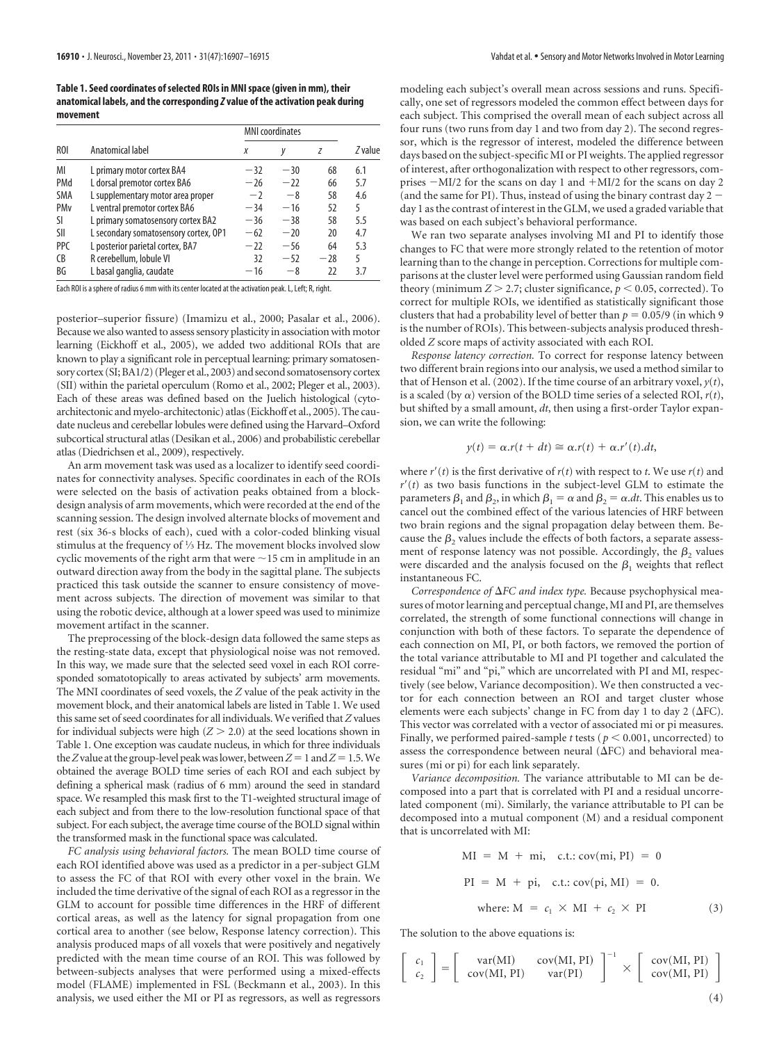**Table 1. Seed coordinates of selected ROIs in MNI space (given in mm), their anatomical labels, and the corresponding** *Z***value of the activation peak during movement**

|                 |                                       |       | <b>MNI</b> coordinates |       |         |  |
|-----------------|---------------------------------------|-------|------------------------|-------|---------|--|
| R <sub>0</sub>  | Anatomical label                      | X     | у                      | Z     | Z value |  |
| MI              | L primary motor cortex BA4            | $-32$ | $-30$                  | 68    | 6.1     |  |
| PMd             | L dorsal premotor cortex BA6          | $-26$ | $-22$                  | 66    | 5.7     |  |
| SMA             | L supplementary motor area proper     | $-2$  | $-8$                   | 58    | 4.6     |  |
| PM <sub>v</sub> | L ventral premotor cortex BA6         | $-34$ | $-16$                  | 52    | 5       |  |
| SI.             | L primary somatosensory cortex BA2    | $-36$ | $-38$                  | 58    | 5.5     |  |
| <b>SII</b>      | L secondary somatosensory cortex, OP1 | $-62$ | $-20$                  | 20    | 4.7     |  |
| <b>PPC</b>      | L posterior parietal cortex, BA7      | $-22$ | $-56$                  | 64    | 5.3     |  |
| <b>CB</b>       | R cerebellum, lobule VI               | 32    | $-52$                  | $-28$ | 5       |  |
| BG              | L basal ganglia, caudate              | $-16$ | $-8$                   | 77    | 3.7     |  |

Each ROI is a sphere of radius 6 mm with its center located at the activation peak. L, Left; R, right.

posterior–superior fissure) (Imamizu et al., 2000; Pasalar et al., 2006). Because we also wanted to assess sensory plasticity in association with motor learning (Eickhoff et al., 2005), we added two additional ROIs that are known to play a significant role in perceptual learning: primary somatosensory cortex (SI; BA1/2) (Pleger et al., 2003) and second somatosensory cortex (SII) within the parietal operculum (Romo et al., 2002; Pleger et al., 2003). Each of these areas was defined based on the Juelich histological (cytoarchitectonic and myelo-architectonic) atlas (Eickhoff et al., 2005). The caudate nucleus and cerebellar lobules were defined using the Harvard–Oxford subcortical structural atlas (Desikan et al., 2006) and probabilistic cerebellar atlas (Diedrichsen et al., 2009), respectively.

An arm movement task was used as a localizer to identify seed coordinates for connectivity analyses. Specific coordinates in each of the ROIs were selected on the basis of activation peaks obtained from a blockdesign analysis of arm movements, which were recorded at the end of the scanning session. The design involved alternate blocks of movement and rest (six 36-s blocks of each), cued with a color-coded blinking visual stimulus at the frequency of 1⁄3 Hz. The movement blocks involved slow cyclic movements of the right arm that were  $\sim$  15 cm in amplitude in an outward direction away from the body in the sagittal plane. The subjects practiced this task outside the scanner to ensure consistency of movement across subjects. The direction of movement was similar to that using the robotic device, although at a lower speed was used to minimize movement artifact in the scanner.

The preprocessing of the block-design data followed the same steps as the resting-state data, except that physiological noise was not removed. In this way, we made sure that the selected seed voxel in each ROI corresponded somatotopically to areas activated by subjects' arm movements. The MNI coordinates of seed voxels, the *Z* value of the peak activity in the movement block, and their anatomical labels are listed in Table 1. We used this same set of seed coordinates for all individuals.We verified that *Z* values for individual subjects were high  $(Z > 2.0)$  at the seed locations shown in Table 1. One exception was caudate nucleus, in which for three individuals the *Z* value at the group-level peak was lower, between  $Z = 1$  and  $Z = 1.5$ . We obtained the average BOLD time series of each ROI and each subject by defining a spherical mask (radius of 6 mm) around the seed in standard space. We resampled this mask first to the T1-weighted structural image of each subject and from there to the low-resolution functional space of that subject. For each subject, the average time course of the BOLD signal within the transformed mask in the functional space was calculated.

*FC analysis using behavioral factors.* The mean BOLD time course of each ROI identified above was used as a predictor in a per-subject GLM to assess the FC of that ROI with every other voxel in the brain. We included the time derivative of the signal of each ROI as a regressor in the GLM to account for possible time differences in the HRF of different cortical areas, as well as the latency for signal propagation from one cortical area to another (see below, Response latency correction). This analysis produced maps of all voxels that were positively and negatively predicted with the mean time course of an ROI. This was followed by between-subjects analyses that were performed using a mixed-effects model (FLAME) implemented in FSL (Beckmann et al., 2003). In this analysis, we used either the MI or PI as regressors, as well as regressors

modeling each subject's overall mean across sessions and runs. Specifically, one set of regressors modeled the common effect between days for each subject. This comprised the overall mean of each subject across all four runs (two runs from day 1 and two from day 2). The second regressor, which is the regressor of interest, modeled the difference between days based on the subject-specific MI or PI weights. The applied regressor of interest, after orthogonalization with respect to other regressors, comprises  $-MI/2$  for the scans on day 1 and  $+MI/2$  for the scans on day 2 (and the same for PI). Thus, instead of using the binary contrast day  $2$ day 1 as the contrast of interest in the GLM, we used a graded variable that was based on each subject's behavioral performance.

We ran two separate analyses involving MI and PI to identify those changes to FC that were more strongly related to the retention of motor learning than to the change in perception. Corrections for multiple comparisons at the cluster level were performed using Gaussian random field theory (minimum  $Z > 2.7$ ; cluster significance,  $p < 0.05$ , corrected). To correct for multiple ROIs, we identified as statistically significant those clusters that had a probability level of better than  $p = 0.05/9$  (in which 9) is the number of ROIs). This between-subjects analysis produced thresholded *Z* score maps of activity associated with each ROI.

*Response latency correction.* To correct for response latency between two different brain regions into our analysis, we used a method similar to that of Henson et al. (2002). If the time course of an arbitrary voxel,  $y(t)$ , is a scaled (by  $\alpha$ ) version of the BOLD time series of a selected ROI,  $r(t)$ , but shifted by a small amount, *dt*, then using a first-order Taylor expansion, we can write the following:

$$
y(t) = \alpha.r(t + dt) \approx \alpha.r(t) + \alpha.r'(t).dt,
$$

where  $r'(t)$  is the first derivative of  $r(t)$  with respect to *t*. We use  $r(t)$  and  $r'(t)$  as two basis functions in the subject-level GLM to estimate the parameters  $\beta_1$  and  $\beta_2$ , in which  $\beta_1 = \alpha$  and  $\beta_2 = \alpha$ .*dt*. This enables us to cancel out the combined effect of the various latencies of HRF between two brain regions and the signal propagation delay between them. Because the  $\beta$ , values include the effects of both factors, a separate assessment of response latency was not possible. Accordingly, the  $\beta_2$  values were discarded and the analysis focused on the  $\beta_1$  weights that reflect instantaneous FC.

*Correspondence of* \$*FC and index type.* Because psychophysical measures of motor learning and perceptual change, MI and PI, are themselves correlated, the strength of some functional connections will change in conjunction with both of these factors. To separate the dependence of each connection on MI, PI, or both factors, we removed the portion of the total variance attributable to MI and PI together and calculated the residual "mi" and "pi," which are uncorrelated with PI and MI, respectively (see below, Variance decomposition). We then constructed a vector for each connection between an ROI and target cluster whose elements were each subjects' change in FC from day 1 to day 2 ( $\Delta$ FC). This vector was correlated with a vector of associated mi or pi measures. Finally, we performed paired-sample  $t$  tests ( $p < 0.001$ , uncorrected) to assess the correspondence between neural  $(\Delta FC)$  and behavioral measures (mi or pi) for each link separately.

*Variance decomposition.* The variance attributable to MI can be decomposed into a part that is correlated with PI and a residual uncorrelated component (mi). Similarly, the variance attributable to PI can be decomposed into a mutual component (M) and a residual component that is uncorrelated with MI:

$$
MI = M + mi, \quad c.t.: cov(mi, PI) = 0
$$
  
PI = M + pi, \quad c.t.: cov(pi, MI) = 0.  
where: M = c<sub>1</sub> × MI + c<sub>2</sub> × PI (3)

The solution to the above equations is:

$$
\begin{bmatrix} c_1 \\ c_2 \end{bmatrix} = \begin{bmatrix} var(MI) & cov(MI, PI) \\ cov(MI, PI) & var(PI) \end{bmatrix}^{-1} \times \begin{bmatrix} cov(MI, PI) \\ cov(MI, PI) \end{bmatrix}
$$
(4)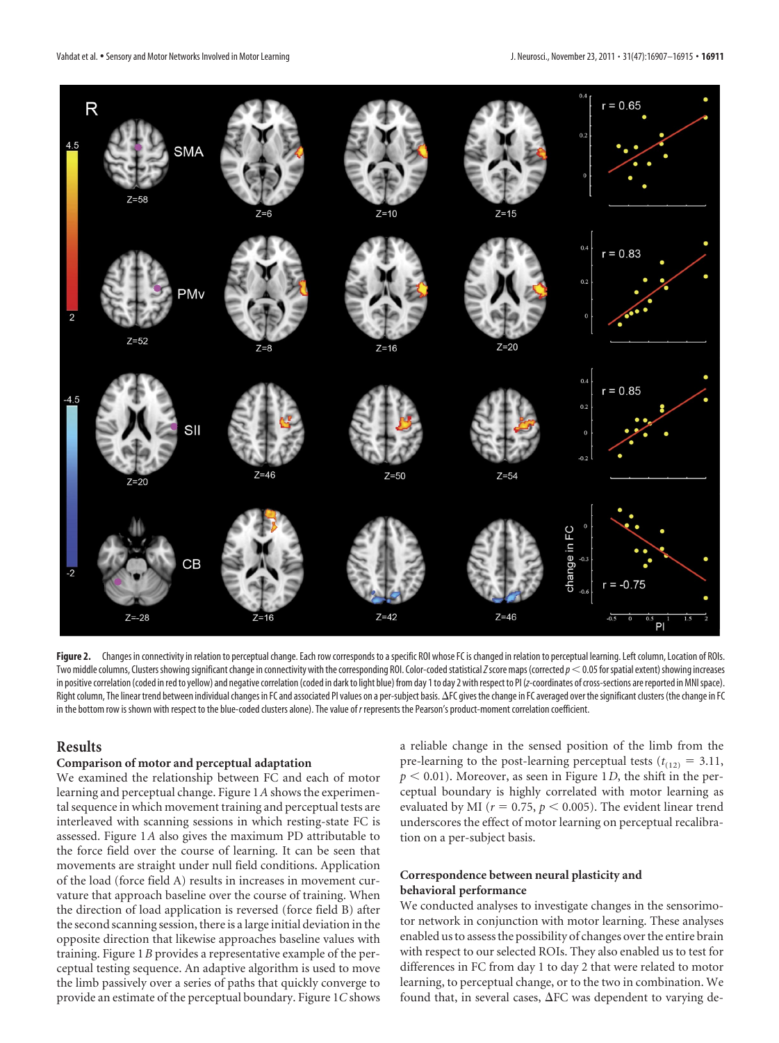

Figure 2. Changes in connectivity in relation to perceptual change. Each row corresponds to a specific ROI whose FC is changed in relation to perceptual learning. Left column, Location of ROIs. Two middle columns, Clusters showing significant change in connectivity with the corresponding ROI. Color-coded statistical Z score maps (corrected  $p < 0.05$  for spatial extent) showing increases in positive correlation (coded in red to yellow) and negative correlation (coded in dark to light blue) from day 1 to day 2 with respect to PI (z-coordinates of cross-sections are reported in MNIspace). Right column, The linear trend between individual changes in FC and associated PI values on a per-subject basis.  $\Delta$ FC gives the change in FC averaged over the significant clusters (the change in FC in the bottom row is shown with respect to the blue-coded clusters alone). The value of r represents the Pearson's product-moment correlation coefficient.

# **Results**

## **Comparison of motor and perceptual adaptation**

We examined the relationship between FC and each of motor learning and perceptual change. Figure 1*A* shows the experimental sequence in which movement training and perceptual tests are interleaved with scanning sessions in which resting-state FC is assessed. Figure 1*A* also gives the maximum PD attributable to the force field over the course of learning. It can be seen that movements are straight under null field conditions. Application of the load (force field A) results in increases in movement curvature that approach baseline over the course of training. When the direction of load application is reversed (force field B) after the second scanning session, there is a large initial deviation in the opposite direction that likewise approaches baseline values with training. Figure 1*B* provides a representative example of the perceptual testing sequence. An adaptive algorithm is used to move the limb passively over a series of paths that quickly converge to provide an estimate of the perceptual boundary. Figure 1*C* shows

a reliable change in the sensed position of the limb from the pre-learning to the post-learning perceptual tests  $(t_{(12)} = 3.11,$  $p < 0.01$ ). Moreover, as seen in Figure 1*D*, the shift in the perceptual boundary is highly correlated with motor learning as evaluated by MI ( $r = 0.75$ ,  $p < 0.005$ ). The evident linear trend underscores the effect of motor learning on perceptual recalibration on a per-subject basis.

# **Correspondence between neural plasticity and behavioral performance**

We conducted analyses to investigate changes in the sensorimotor network in conjunction with motor learning. These analyses enabled us to assess the possibility of changes over the entire brain with respect to our selected ROIs. They also enabled us to test for differences in FC from day 1 to day 2 that were related to motor learning, to perceptual change, or to the two in combination. We found that, in several cases,  $\Delta FC$  was dependent to varying de-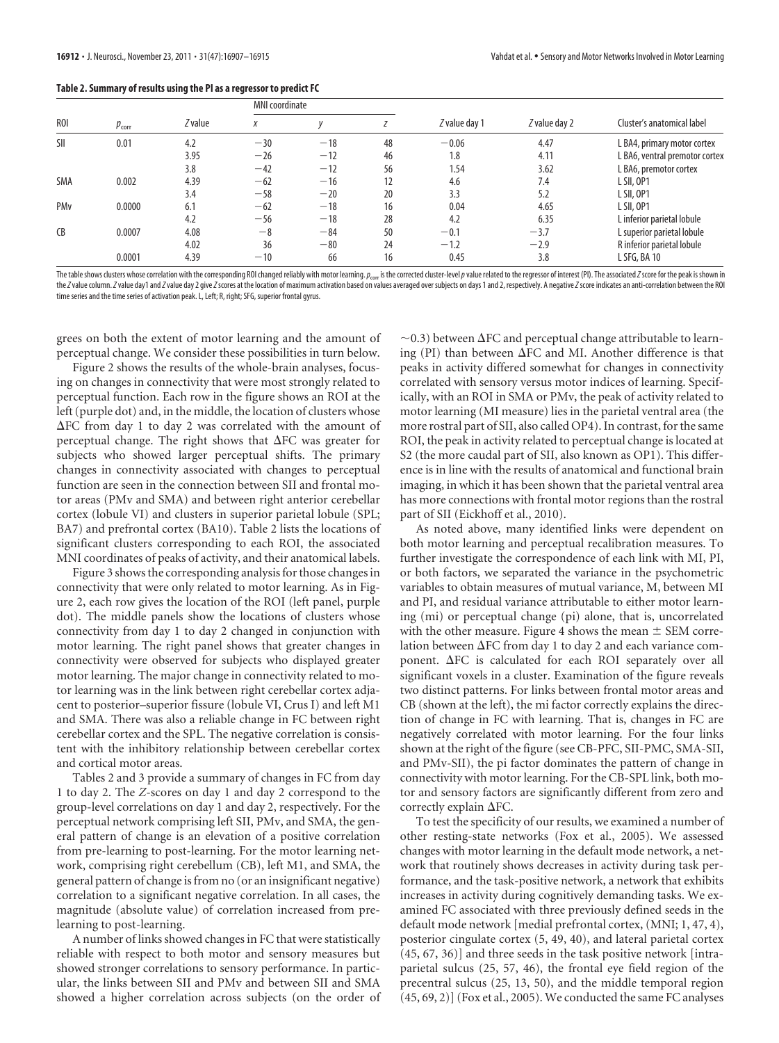#### **Table 2. Summary of results using the PI as a regressor to predict FC**

|            | $p_{\rm corr}$ | Z value | <b>MNI</b> coordinate |       |    |               |               |                                |
|------------|----------------|---------|-----------------------|-------|----|---------------|---------------|--------------------------------|
| <b>ROI</b> |                |         | X                     |       |    | Z value day 1 | Z value day 2 | Cluster's anatomical label     |
| SII        | 0.01           | 4.2     | $-30$                 | $-18$ | 48 | $-0.06$       | 4.47          | L BA4, primary motor cortex    |
|            |                | 3.95    | $-26$                 | $-12$ | 46 | 1.8           | 4.11          | L BA6, ventral premotor cortex |
|            |                | 3.8     | $-42$                 | $-12$ | 56 | 1.54          | 3.62          | L BA6, premotor cortex         |
| SMA        | 0.002          | 4.39    | $-62$                 | $-16$ | 12 | 4.6           | 7.4           | L SII, OP1                     |
|            |                | 3.4     | $-58$                 | $-20$ | 20 | 3.3           | 5.2           | L SII, OP1                     |
| PMy        | 0.0000         | 6.1     | $-62$                 | $-18$ | 16 | 0.04          | 4.65          | L SII, OP1                     |
|            |                | 4.2     | $-56$                 | $-18$ | 28 | 4.2           | 6.35          | L inferior parietal lobule     |
| <b>CB</b>  | 0.0007         | 4.08    | $-8$                  | $-84$ | 50 | $-0.1$        | $-3.7$        | L superior parietal lobule     |
|            |                | 4.02    | 36                    | $-80$ | 24 | $-1.2$        | $-2.9$        | R inferior parietal lobule     |
|            | 0.0001         | 4.39    | $-10$                 | 66    | 16 | 0.45          | 3.8           | L SFG, BA 10                   |

The table shows clusters whose correlation with the corresponding ROI changed reliably with motor learning. p<sub>corr</sub> is the corrected cluster-level p value related to the regressor of interest (PI). The associated Z score f the Z value column. Z value day1 and Z value day 2 give Z scores at the location of maximum activation based on values averaged over subjects on days 1 and 2, respectively. A negative Z score indicates an anti-correlation time series and the time series of activation peak. L, Left; R, right; SFG, superior frontal gyrus.

grees on both the extent of motor learning and the amount of perceptual change. We consider these possibilities in turn below.

Figure 2 shows the results of the whole-brain analyses, focusing on changes in connectivity that were most strongly related to perceptual function. Each row in the figure shows an ROI at the left (purple dot) and, in the middle, the location of clusters whose  $\Delta$ FC from day 1 to day 2 was correlated with the amount of perceptual change. The right shows that  $\Delta FC$  was greater for subjects who showed larger perceptual shifts. The primary changes in connectivity associated with changes to perceptual function are seen in the connection between SII and frontal motor areas (PMv and SMA) and between right anterior cerebellar cortex (lobule VI) and clusters in superior parietal lobule (SPL; BA7) and prefrontal cortex (BA10). Table 2 lists the locations of significant clusters corresponding to each ROI, the associated MNI coordinates of peaks of activity, and their anatomical labels.

Figure 3 shows the corresponding analysis for those changes in connectivity that were only related to motor learning. As in Figure 2, each row gives the location of the ROI (left panel, purple dot). The middle panels show the locations of clusters whose connectivity from day 1 to day 2 changed in conjunction with motor learning. The right panel shows that greater changes in connectivity were observed for subjects who displayed greater motor learning. The major change in connectivity related to motor learning was in the link between right cerebellar cortex adjacent to posterior–superior fissure (lobule VI, Crus I) and left M1 and SMA. There was also a reliable change in FC between right cerebellar cortex and the SPL. The negative correlation is consistent with the inhibitory relationship between cerebellar cortex and cortical motor areas.

Tables 2 and 3 provide a summary of changes in FC from day 1 to day 2. The *Z*-scores on day 1 and day 2 correspond to the group-level correlations on day 1 and day 2, respectively. For the perceptual network comprising left SII, PMv, and SMA, the general pattern of change is an elevation of a positive correlation from pre-learning to post-learning. For the motor learning network, comprising right cerebellum (CB), left M1, and SMA, the general pattern of change is from no (or an insignificant negative) correlation to a significant negative correlation. In all cases, the magnitude (absolute value) of correlation increased from prelearning to post-learning.

A number of links showed changes in FC that were statistically reliable with respect to both motor and sensory measures but showed stronger correlations to sensory performance. In particular, the links between SII and PMv and between SII and SMA showed a higher correlation across subjects (on the order of  $\sim$ 0.3) between  $\Delta$ FC and perceptual change attributable to learning (PI) than between  $\Delta$ FC and MI. Another difference is that peaks in activity differed somewhat for changes in connectivity correlated with sensory versus motor indices of learning. Specifically, with an ROI in SMA or PMv, the peak of activity related to motor learning (MI measure) lies in the parietal ventral area (the more rostral part of SII, also called OP4). In contrast, for the same ROI, the peak in activity related to perceptual change is located at S2 (the more caudal part of SII, also known as OP1). This difference is in line with the results of anatomical and functional brain imaging, in which it has been shown that the parietal ventral area has more connections with frontal motor regions than the rostral part of SII (Eickhoff et al., 2010).

As noted above, many identified links were dependent on both motor learning and perceptual recalibration measures. To further investigate the correspondence of each link with MI, PI, or both factors, we separated the variance in the psychometric variables to obtain measures of mutual variance, M, between MI and PI, and residual variance attributable to either motor learning (mi) or perceptual change (pi) alone, that is, uncorrelated with the other measure. Figure 4 shows the mean  $\pm$  SEM correlation between  $\Delta$ FC from day 1 to day 2 and each variance component.  $\Delta FC$  is calculated for each ROI separately over all significant voxels in a cluster. Examination of the figure reveals two distinct patterns. For links between frontal motor areas and CB (shown at the left), the mi factor correctly explains the direction of change in FC with learning. That is, changes in FC are negatively correlated with motor learning. For the four links shown at the right of the figure (see CB-PFC, SII-PMC, SMA-SII, and PMv-SII), the pi factor dominates the pattern of change in connectivity with motor learning. For the CB-SPL link, both motor and sensory factors are significantly different from zero and correctly explain  $\Delta$ FC.

To test the specificity of our results, we examined a number of other resting-state networks (Fox et al., 2005). We assessed changes with motor learning in the default mode network, a network that routinely shows decreases in activity during task performance, and the task-positive network, a network that exhibits increases in activity during cognitively demanding tasks. We examined FC associated with three previously defined seeds in the default mode network [medial prefrontal cortex, (MNI; 1, 47, 4), posterior cingulate cortex (5, 49, 40), and lateral parietal cortex (45, 67, 36)] and three seeds in the task positive network [intraparietal sulcus (25, 57, 46), the frontal eye field region of the precentral sulcus (25, 13, 50), and the middle temporal region (45, 69, 2)] (Fox et al., 2005). We conducted the same FC analyses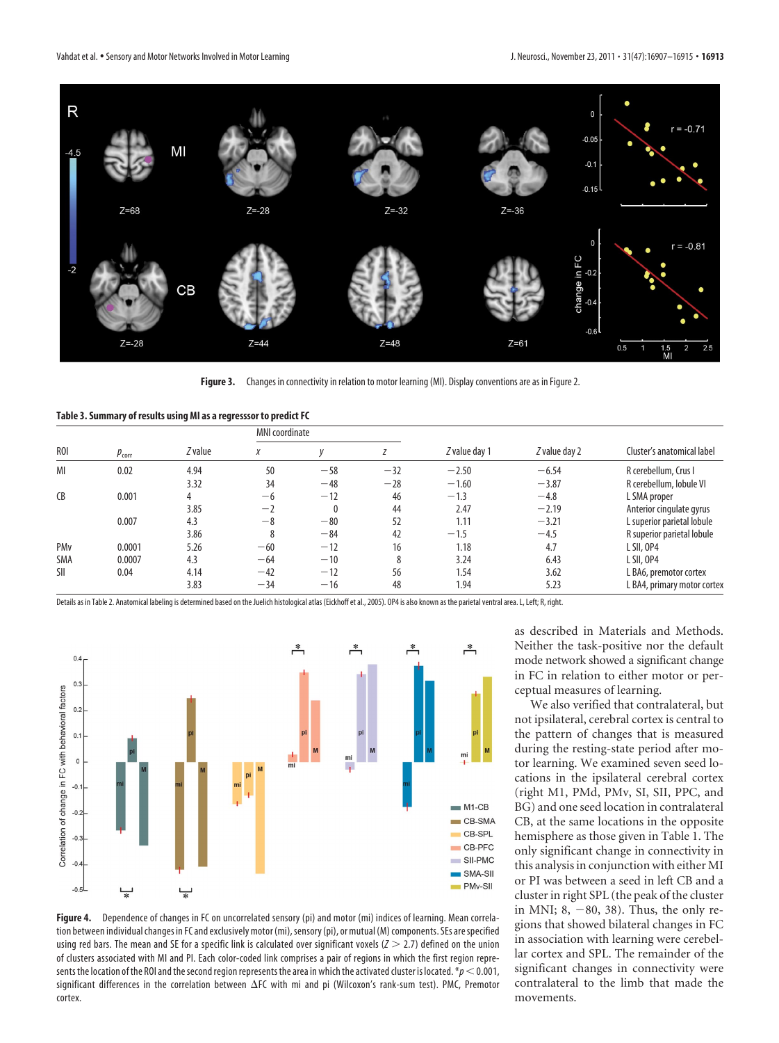

**Figure 3.** Changes in connectivity in relation to motor learning (MI). Display conventions are as in Figure 2.

|  |  | Table 3. Summary of results using MI as a regresssor to predict FC |  |
|--|--|--------------------------------------------------------------------|--|
|--|--|--------------------------------------------------------------------|--|

|            | $p_{\text{corr}}$ | Z value | MNI coordinate |       |       |               |               |                             |
|------------|-------------------|---------|----------------|-------|-------|---------------|---------------|-----------------------------|
| <b>ROI</b> |                   |         | X              |       |       | Z value day 1 | Z value day 2 | Cluster's anatomical label  |
| MI         | 0.02              | 4.94    | 50             | $-58$ | $-32$ | $-2.50$       | $-6.54$       | R cerebellum, Crus I        |
|            |                   | 3.32    | 34             | $-48$ | $-28$ | $-1.60$       | $-3.87$       | R cerebellum, lobule VI     |
| <b>CB</b>  | 0.001             |         | -6             | $-12$ | 46    | $-1.3$        | $-4.8$        | L SMA proper                |
|            |                   | 3.85    | $^{-2}$        | 0     | 44    | 2.47          | $-2.19$       | Anterior cingulate gyrus    |
|            | 0.007             | 4.3     | $-8$           | $-80$ | 52    | 1.11          | $-3.21$       | L superior parietal lobule  |
|            |                   | 3.86    | 8              | $-84$ | 42    | $-1.5$        | $-4.5$        | R superior parietal lobule  |
| PMv        | 0.0001            | 5.26    | $-60$          | $-12$ | 16    | 1.18          | 4.7           | L SII, OP4                  |
| SMA        | 0.0007            | 4.3     | $-64$          | $-10$ | 8     | 3.24          | 6.43          | L SII, OP4                  |
| <b>SII</b> | 0.04              | 4.14    | $-42$          | $-12$ | 56    | 1.54          | 3.62          | L BA6, premotor cortex      |
|            |                   | 3.83    | $-34$          | $-16$ | 48    | 1.94          | 5.23          | L BA4, primary motor cortex |

Details as in Table 2. Anatomical labeling is determined based on the Juelich histological atlas (Eickhoff et al., 2005). OP4 is also known as the parietal ventral area. L, Left; R, right.



Figure 4. Dependence of changes in FC on uncorrelated sensory (pi) and motor (mi) indices of learning. Mean correlation between individual changes in FC and exclusively motor (mi), sensory (pi), or mutual (M) components. SEs are specified using red bars. The mean and SE for a specific link is calculated over significant voxels ( $Z > 2.7$ ) defined on the union of clusters associated with MI and PI. Each color-coded link comprises a pair of regions in which the first region represents the location of the ROI and the second region represents the area in which the activated cluster is located. \*p < 0.001, significant differences in the correlation between  $\Delta$ FC with mi and pi (Wilcoxon's rank-sum test). PMC, Premotor cortex.

as described in Materials and Methods. Neither the task-positive nor the default mode network showed a significant change in FC in relation to either motor or perceptual measures of learning.

We also verified that contralateral, but not ipsilateral, cerebral cortex is central to the pattern of changes that is measured during the resting-state period after motor learning. We examined seven seed locations in the ipsilateral cerebral cortex (right M1, PMd, PMv, SI, SII, PPC, and BG) and one seed location in contralateral CB, at the same locations in the opposite hemisphere as those given in Table 1. The only significant change in connectivity in this analysis in conjunction with either MI or PI was between a seed in left CB and a cluster in right SPL (the peak of the cluster in MNI;  $8, -80, 38$ ). Thus, the only regions that showed bilateral changes in FC in association with learning were cerebellar cortex and SPL. The remainder of the significant changes in connectivity were contralateral to the limb that made the movements.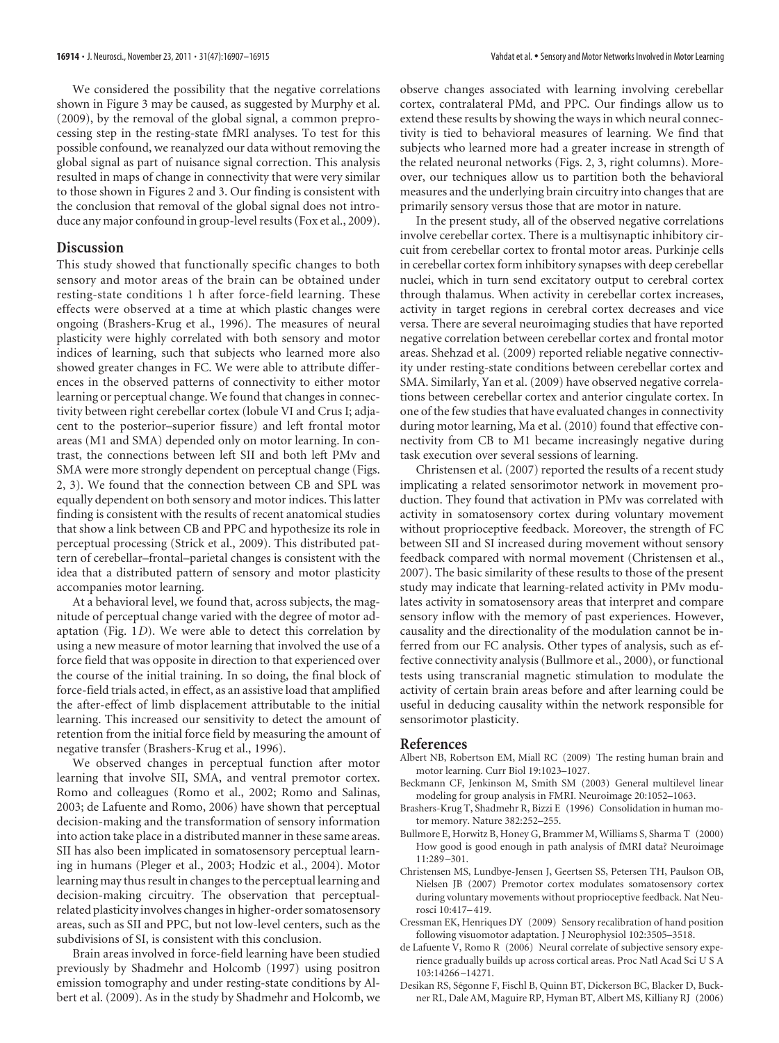We considered the possibility that the negative correlations shown in Figure 3 may be caused, as suggested by Murphy et al. (2009), by the removal of the global signal, a common preprocessing step in the resting-state fMRI analyses. To test for this possible confound, we reanalyzed our data without removing the global signal as part of nuisance signal correction. This analysis resulted in maps of change in connectivity that were very similar to those shown in Figures 2 and 3. Our finding is consistent with the conclusion that removal of the global signal does not introduce any major confound in group-level results (Fox et al., 2009).

## **Discussion**

This study showed that functionally specific changes to both sensory and motor areas of the brain can be obtained under resting-state conditions 1 h after force-field learning. These effects were observed at a time at which plastic changes were ongoing (Brashers-Krug et al., 1996). The measures of neural plasticity were highly correlated with both sensory and motor indices of learning, such that subjects who learned more also showed greater changes in FC. We were able to attribute differences in the observed patterns of connectivity to either motor learning or perceptual change. We found that changes in connectivity between right cerebellar cortex (lobule VI and Crus I; adjacent to the posterior–superior fissure) and left frontal motor areas (M1 and SMA) depended only on motor learning. In contrast, the connections between left SII and both left PMv and SMA were more strongly dependent on perceptual change (Figs. 2, 3). We found that the connection between CB and SPL was equally dependent on both sensory and motor indices. This latter finding is consistent with the results of recent anatomical studies that show a link between CB and PPC and hypothesize its role in perceptual processing (Strick et al., 2009). This distributed pattern of cerebellar–frontal–parietal changes is consistent with the idea that a distributed pattern of sensory and motor plasticity accompanies motor learning.

At a behavioral level, we found that, across subjects, the magnitude of perceptual change varied with the degree of motor adaptation (Fig. 1*D*). We were able to detect this correlation by using a new measure of motor learning that involved the use of a force field that was opposite in direction to that experienced over the course of the initial training. In so doing, the final block of force-field trials acted, in effect, as an assistive load that amplified the after-effect of limb displacement attributable to the initial learning. This increased our sensitivity to detect the amount of retention from the initial force field by measuring the amount of negative transfer (Brashers-Krug et al., 1996).

We observed changes in perceptual function after motor learning that involve SII, SMA, and ventral premotor cortex. Romo and colleagues (Romo et al., 2002; Romo and Salinas, 2003; de Lafuente and Romo, 2006) have shown that perceptual decision-making and the transformation of sensory information into action take place in a distributed manner in these same areas. SII has also been implicated in somatosensory perceptual learning in humans (Pleger et al., 2003; Hodzic et al., 2004). Motor learning may thus result in changes to the perceptual learning and decision-making circuitry. The observation that perceptualrelated plasticity involves changes in higher-order somatosensory areas, such as SII and PPC, but not low-level centers, such as the subdivisions of SI, is consistent with this conclusion.

Brain areas involved in force-field learning have been studied previously by Shadmehr and Holcomb (1997) using positron emission tomography and under resting-state conditions by Albert et al. (2009). As in the study by Shadmehr and Holcomb, we observe changes associated with learning involving cerebellar cortex, contralateral PMd, and PPC. Our findings allow us to extend these results by showing the ways in which neural connectivity is tied to behavioral measures of learning. We find that subjects who learned more had a greater increase in strength of the related neuronal networks (Figs. 2, 3, right columns). Moreover, our techniques allow us to partition both the behavioral measures and the underlying brain circuitry into changes that are primarily sensory versus those that are motor in nature.

In the present study, all of the observed negative correlations involve cerebellar cortex. There is a multisynaptic inhibitory circuit from cerebellar cortex to frontal motor areas. Purkinje cells in cerebellar cortex form inhibitory synapses with deep cerebellar nuclei, which in turn send excitatory output to cerebral cortex through thalamus. When activity in cerebellar cortex increases, activity in target regions in cerebral cortex decreases and vice versa. There are several neuroimaging studies that have reported negative correlation between cerebellar cortex and frontal motor areas. Shehzad et al. (2009) reported reliable negative connectivity under resting-state conditions between cerebellar cortex and SMA. Similarly, Yan et al. (2009) have observed negative correlations between cerebellar cortex and anterior cingulate cortex. In one of the few studies that have evaluated changes in connectivity during motor learning, Ma et al. (2010) found that effective connectivity from CB to M1 became increasingly negative during task execution over several sessions of learning.

Christensen et al. (2007) reported the results of a recent study implicating a related sensorimotor network in movement production. They found that activation in PMv was correlated with activity in somatosensory cortex during voluntary movement without proprioceptive feedback. Moreover, the strength of FC between SII and SI increased during movement without sensory feedback compared with normal movement (Christensen et al., 2007). The basic similarity of these results to those of the present study may indicate that learning-related activity in PMv modulates activity in somatosensory areas that interpret and compare sensory inflow with the memory of past experiences. However, causality and the directionality of the modulation cannot be inferred from our FC analysis. Other types of analysis, such as effective connectivity analysis (Bullmore et al., 2000), or functional tests using transcranial magnetic stimulation to modulate the activity of certain brain areas before and after learning could be useful in deducing causality within the network responsible for sensorimotor plasticity.

### **References**

- Albert NB, Robertson EM, Miall RC (2009) The resting human brain and motor learning. Curr Biol 19:1023–1027.
- Beckmann CF, Jenkinson M, Smith SM (2003) General multilevel linear modeling for group analysis in FMRI. Neuroimage 20:1052–1063.
- Brashers-Krug T, Shadmehr R, Bizzi E (1996) Consolidation in human motor memory. Nature 382:252–255.
- Bullmore E, Horwitz B, Honey G, Brammer M, Williams S, Sharma T (2000) How good is good enough in path analysis of fMRI data? Neuroimage 11:289 –301.
- Christensen MS, Lundbye-Jensen J, Geertsen SS, Petersen TH, Paulson OB, Nielsen JB (2007) Premotor cortex modulates somatosensory cortex during voluntary movements without proprioceptive feedback. Nat Neurosci 10:417–419.
- Cressman EK, Henriques DY (2009) Sensory recalibration of hand position following visuomotor adaptation. J Neurophysiol 102:3505–3518.
- de Lafuente V, Romo R (2006) Neural correlate of subjective sensory experience gradually builds up across cortical areas. Proc Natl Acad Sci U S A 103:14266 –14271.
- Desikan RS, Ségonne F, Fischl B, Quinn BT, Dickerson BC, Blacker D, Buckner RL, Dale AM, Maguire RP, Hyman BT, Albert MS, Killiany RJ (2006)